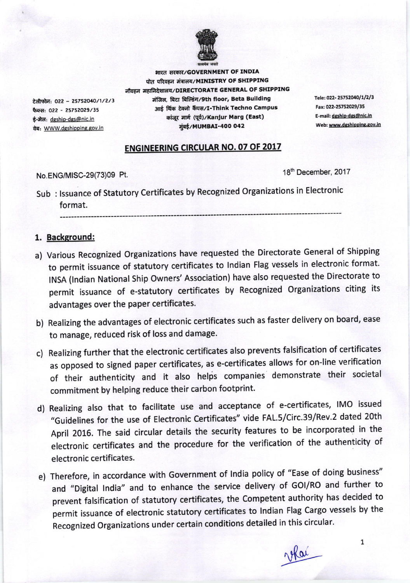

भारत सरकार/GOVERNMENT OF INDIA पोत परिवहन मंत्रालय/MINISTRY OF SHIPPING नौवहन महानिदेशालय/DIRECTORATE GENERAL OF SHIPPING मंजिल, बिटा बिल्डिंग/9th floor, Beta Building आई थिंक टेक्नो कैंपस/I-Think Techno Campus कांजूर मार्ग (पूर्व)/Kanjur Marg (East) मूंबई/MUMBAI-400 042

Tele: 022-25752040/1/2/3 Fax: 022-25752029/35 E-mail: dgship-dgs@nic.in Web: www.dgshipping.gov.in

## **ENGINEERING CIRCULAR NO. 07 OF 2017**

No.ENG/MISC-29(73)09 Pt.

टेलीफोन: 022 - 25752040/1/2/3

फैक्स: 022 - 25752029/35

वेब: WWW.dgshipping.gov.in

ई-मेल: dgship-dgs@nic.in

18th December, 2017

Sub: Issuance of Statutory Certificates by Recognized Organizations in Electronic format.

## 1. Background:

- a) Various Recognized Organizations have requested the Directorate General of Shipping to permit issuance of statutory certificates to Indian Flag vessels in electronic format. INSA (Indian National Ship Owners' Association) have also requested the Directorate to permit issuance of e-statutory certificates by Recognized Organizations citing its advantages over the paper certificates.
- b) Realizing the advantages of electronic certificates such as faster delivery on board, ease to manage, reduced risk of loss and damage.
- c) Realizing further that the electronic certificates also prevents falsification of certificates as opposed to signed paper certificates, as e-certificates allows for on-line verification of their authenticity and it also helps companies demonstrate their societal commitment by helping reduce their carbon footprint.
- d) Realizing also that to facilitate use and acceptance of e-certificates, IMO issued "Guidelines for the use of Electronic Certificates" vide FAL.5/Circ.39/Rev.2 dated 20th April 2016. The said circular details the security features to be incorporated in the electronic certificates and the procedure for the verification of the authenticity of electronic certificates.
- e) Therefore, in accordance with Government of India policy of "Ease of doing business" and "Digital India" and to enhance the service delivery of GOI/RO and further to prevent falsification of statutory certificates, the Competent authority has decided to permit issuance of electronic statutory certificates to Indian Flag Cargo vessels by the Recognized Organizations under certain conditions detailed in this circular.

 $\mathbf{1}$